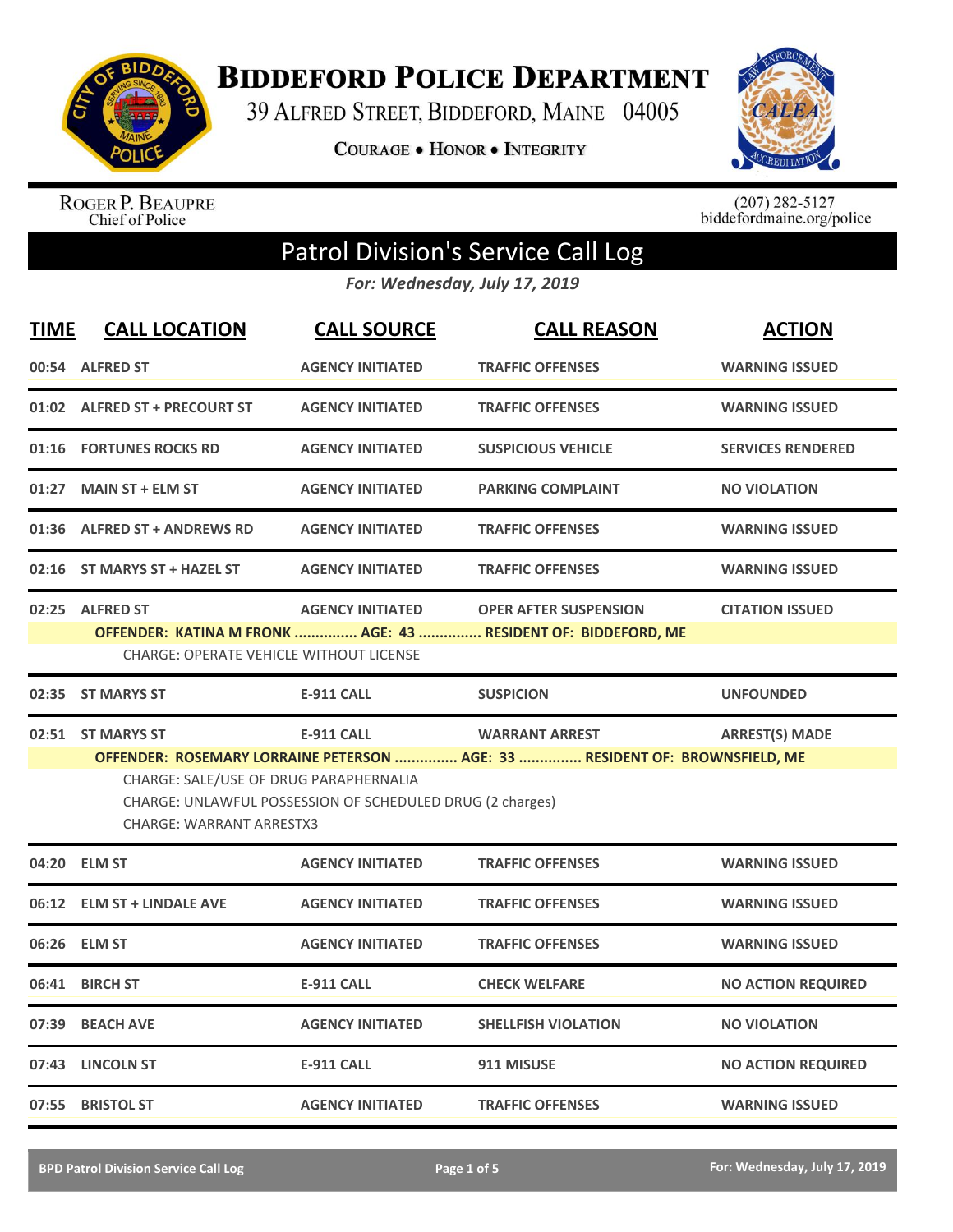

**BIDDEFORD POLICE DEPARTMENT** 

39 ALFRED STREET, BIDDEFORD, MAINE 04005

**COURAGE . HONOR . INTEGRITY** 



ROGER P. BEAUPRE<br>Chief of Police

 $(207)$  282-5127<br>biddefordmaine.org/police

## Patrol Division's Service Call Log

*For: Wednesday, July 17, 2019*

| <b>TIME</b> | <b>CALL LOCATION</b>                                                                           | <b>CALL SOURCE</b>                                                             | <b>CALL REASON</b>                                                                                   | <b>ACTION</b>             |
|-------------|------------------------------------------------------------------------------------------------|--------------------------------------------------------------------------------|------------------------------------------------------------------------------------------------------|---------------------------|
|             | 00:54 ALFRED ST                                                                                | <b>AGENCY INITIATED</b>                                                        | <b>TRAFFIC OFFENSES</b>                                                                              | <b>WARNING ISSUED</b>     |
|             | 01:02 ALFRED ST + PRECOURT ST                                                                  | <b>AGENCY INITIATED</b>                                                        | <b>TRAFFIC OFFENSES</b>                                                                              | <b>WARNING ISSUED</b>     |
|             | 01:16 FORTUNES ROCKS RD                                                                        | <b>AGENCY INITIATED</b>                                                        | <b>SUSPICIOUS VEHICLE</b>                                                                            | <b>SERVICES RENDERED</b>  |
| 01:27       | <b>MAIN ST + ELM ST</b>                                                                        | <b>AGENCY INITIATED</b>                                                        | <b>PARKING COMPLAINT</b>                                                                             | <b>NO VIOLATION</b>       |
|             | 01:36 ALFRED ST + ANDREWS RD                                                                   | <b>AGENCY INITIATED</b>                                                        | <b>TRAFFIC OFFENSES</b>                                                                              | <b>WARNING ISSUED</b>     |
|             | 02:16 ST MARYS ST + HAZEL ST                                                                   | <b>AGENCY INITIATED</b>                                                        | <b>TRAFFIC OFFENSES</b>                                                                              | <b>WARNING ISSUED</b>     |
|             | 02:25 ALFRED ST<br><b>CHARGE: OPERATE VEHICLE WITHOUT LICENSE</b>                              | <b>AGENCY INITIATED</b>                                                        | <b>OPER AFTER SUSPENSION</b><br>OFFENDER: KATINA M FRONK  AGE: 43  RESIDENT OF: BIDDEFORD, ME        | <b>CITATION ISSUED</b>    |
|             | 02:35 ST MARYS ST                                                                              | <b>E-911 CALL</b>                                                              | <b>SUSPICION</b>                                                                                     | <b>UNFOUNDED</b>          |
|             |                                                                                                |                                                                                |                                                                                                      |                           |
|             | 02:51 ST MARYS ST<br>CHARGE: SALE/USE OF DRUG PARAPHERNALIA<br><b>CHARGE: WARRANT ARRESTX3</b> | <b>E-911 CALL</b><br>CHARGE: UNLAWFUL POSSESSION OF SCHEDULED DRUG (2 charges) | <b>WARRANT ARREST</b><br>OFFENDER: ROSEMARY LORRAINE PETERSON  AGE: 33  RESIDENT OF: BROWNSFIELD, ME | <b>ARREST(S) MADE</b>     |
|             | 04:20 ELM ST                                                                                   | <b>AGENCY INITIATED</b>                                                        | <b>TRAFFIC OFFENSES</b>                                                                              | <b>WARNING ISSUED</b>     |
|             | 06:12 ELM ST + LINDALE AVE                                                                     | <b>AGENCY INITIATED</b>                                                        | <b>TRAFFIC OFFENSES</b>                                                                              | <b>WARNING ISSUED</b>     |
| 06:26       | <b>ELM ST</b>                                                                                  | <b>AGENCY INITIATED</b>                                                        | <b>TRAFFIC OFFENSES</b>                                                                              | <b>WARNING ISSUED</b>     |
| 06:41       | <b>BIRCH ST</b>                                                                                | <b>E-911 CALL</b>                                                              | <b>CHECK WELFARE</b>                                                                                 | <b>NO ACTION REQUIRED</b> |
| 07:39       | <b>BEACH AVE</b>                                                                               | <b>AGENCY INITIATED</b>                                                        | <b>SHELLFISH VIOLATION</b>                                                                           | <b>NO VIOLATION</b>       |
| 07:43       | <b>LINCOLN ST</b>                                                                              | <b>E-911 CALL</b>                                                              | 911 MISUSE                                                                                           | <b>NO ACTION REQUIRED</b> |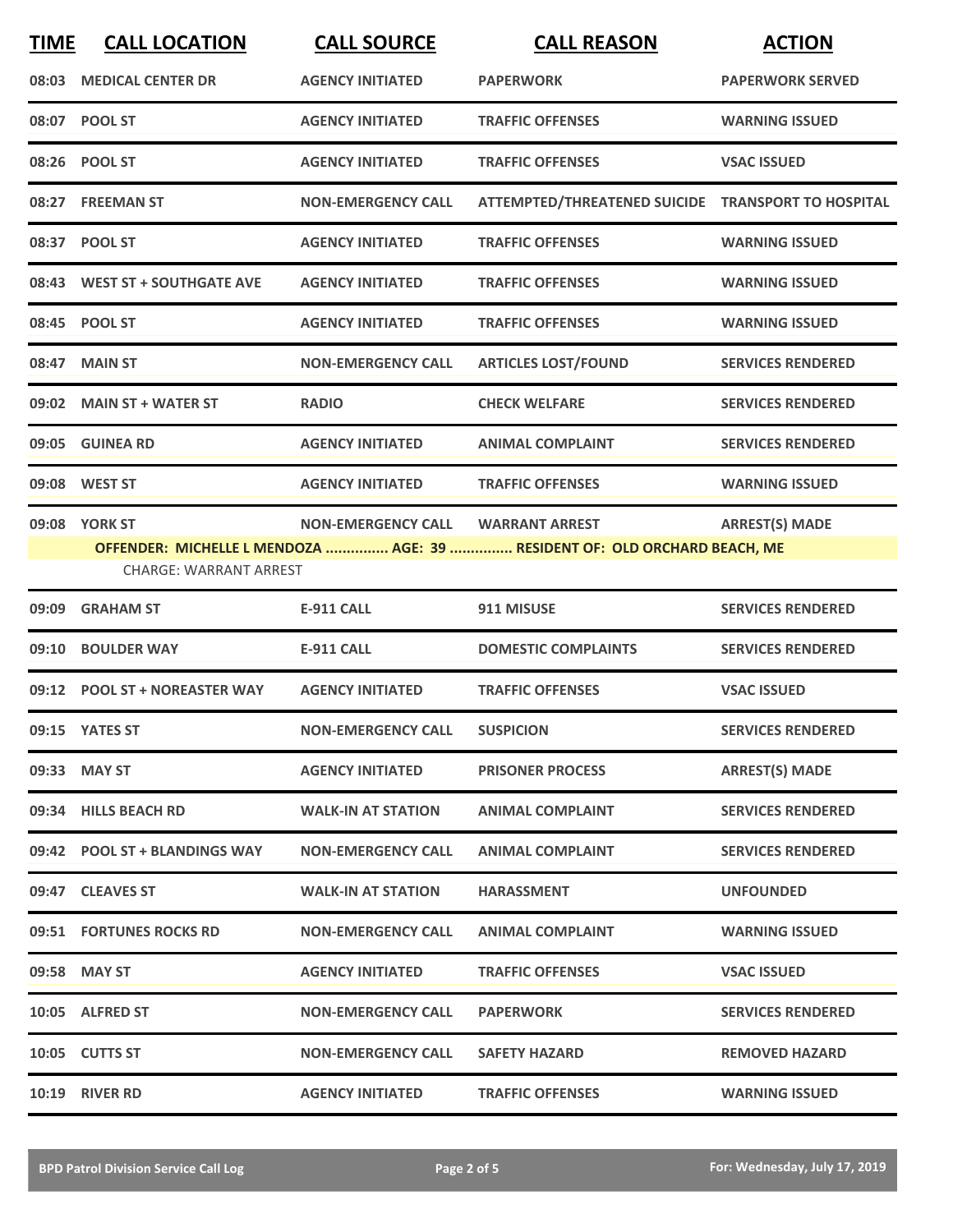| <b>TIME</b> | <b>CALL LOCATION</b>                    | <b>CALL SOURCE</b>        | <b>CALL REASON</b>                                                                                 | <b>ACTION</b>            |
|-------------|-----------------------------------------|---------------------------|----------------------------------------------------------------------------------------------------|--------------------------|
| 08:03       | <b>MEDICAL CENTER DR</b>                | <b>AGENCY INITIATED</b>   | <b>PAPERWORK</b>                                                                                   | <b>PAPERWORK SERVED</b>  |
|             | 08:07 POOL ST                           | <b>AGENCY INITIATED</b>   | <b>TRAFFIC OFFENSES</b>                                                                            | <b>WARNING ISSUED</b>    |
|             | 08:26 POOL ST                           | <b>AGENCY INITIATED</b>   | <b>TRAFFIC OFFENSES</b>                                                                            | <b>VSAC ISSUED</b>       |
|             | 08:27 FREEMAN ST                        | <b>NON-EMERGENCY CALL</b> | ATTEMPTED/THREATENED SUICIDE TRANSPORT TO HOSPITAL                                                 |                          |
|             | 08:37 POOL ST                           | <b>AGENCY INITIATED</b>   | <b>TRAFFIC OFFENSES</b>                                                                            | <b>WARNING ISSUED</b>    |
|             | 08:43 WEST ST + SOUTHGATE AVE           | <b>AGENCY INITIATED</b>   | <b>TRAFFIC OFFENSES</b>                                                                            | <b>WARNING ISSUED</b>    |
|             | 08:45 POOL ST                           | <b>AGENCY INITIATED</b>   | <b>TRAFFIC OFFENSES</b>                                                                            | <b>WARNING ISSUED</b>    |
| 08:47       | <b>MAIN ST</b>                          | <b>NON-EMERGENCY CALL</b> | <b>ARTICLES LOST/FOUND</b>                                                                         | <b>SERVICES RENDERED</b> |
| 09:02       | <b>MAIN ST + WATER ST</b>               | <b>RADIO</b>              | <b>CHECK WELFARE</b>                                                                               | <b>SERVICES RENDERED</b> |
|             | 09:05 GUINEA RD                         | <b>AGENCY INITIATED</b>   | <b>ANIMAL COMPLAINT</b>                                                                            | <b>SERVICES RENDERED</b> |
|             | 09:08 WEST ST                           | <b>AGENCY INITIATED</b>   | <b>TRAFFIC OFFENSES</b>                                                                            | <b>WARNING ISSUED</b>    |
|             | 09:08 YORK ST<br>CHARGE: WARRANT ARREST | <b>NON-EMERGENCY CALL</b> | <b>WARRANT ARREST</b><br>OFFENDER: MICHELLE L MENDOZA  AGE: 39  RESIDENT OF: OLD ORCHARD BEACH, ME | <b>ARREST(S) MADE</b>    |
| 09:09       | <b>GRAHAM ST</b>                        | <b>E-911 CALL</b>         | 911 MISUSE                                                                                         | <b>SERVICES RENDERED</b> |
| 09:10       | <b>BOULDER WAY</b>                      | <b>E-911 CALL</b>         | <b>DOMESTIC COMPLAINTS</b>                                                                         | <b>SERVICES RENDERED</b> |
|             | 09:12 POOL ST + NOREASTER WAY           | <b>AGENCY INITIATED</b>   | <b>TRAFFIC OFFENSES</b>                                                                            | <b>VSAC ISSUED</b>       |
|             | 09:15 YATES ST                          | <b>NON-EMERGENCY CALL</b> | <b>SUSPICION</b>                                                                                   | <b>SERVICES RENDERED</b> |
|             | 09:33 MAY ST                            | <b>AGENCY INITIATED</b>   | <b>PRISONER PROCESS</b>                                                                            | <b>ARREST(S) MADE</b>    |
|             | 09:34 HILLS BEACH RD                    | <b>WALK-IN AT STATION</b> | <b>ANIMAL COMPLAINT</b>                                                                            | <b>SERVICES RENDERED</b> |
|             | 09:42 POOL ST + BLANDINGS WAY           | <b>NON-EMERGENCY CALL</b> | <b>ANIMAL COMPLAINT</b>                                                                            | <b>SERVICES RENDERED</b> |
|             | 09:47 CLEAVES ST                        | <b>WALK-IN AT STATION</b> | <b>HARASSMENT</b>                                                                                  | <b>UNFOUNDED</b>         |
|             | 09:51 FORTUNES ROCKS RD                 | <b>NON-EMERGENCY CALL</b> | <b>ANIMAL COMPLAINT</b>                                                                            | <b>WARNING ISSUED</b>    |
|             | 09:58 MAY ST                            | <b>AGENCY INITIATED</b>   | <b>TRAFFIC OFFENSES</b>                                                                            | <b>VSAC ISSUED</b>       |
|             | 10:05 ALFRED ST                         | <b>NON-EMERGENCY CALL</b> | <b>PAPERWORK</b>                                                                                   | <b>SERVICES RENDERED</b> |
|             | 10:05 CUTTS ST                          | <b>NON-EMERGENCY CALL</b> | <b>SAFETY HAZARD</b>                                                                               | <b>REMOVED HAZARD</b>    |
|             | <b>10:19 RIVER RD</b>                   | <b>AGENCY INITIATED</b>   | <b>TRAFFIC OFFENSES</b>                                                                            | <b>WARNING ISSUED</b>    |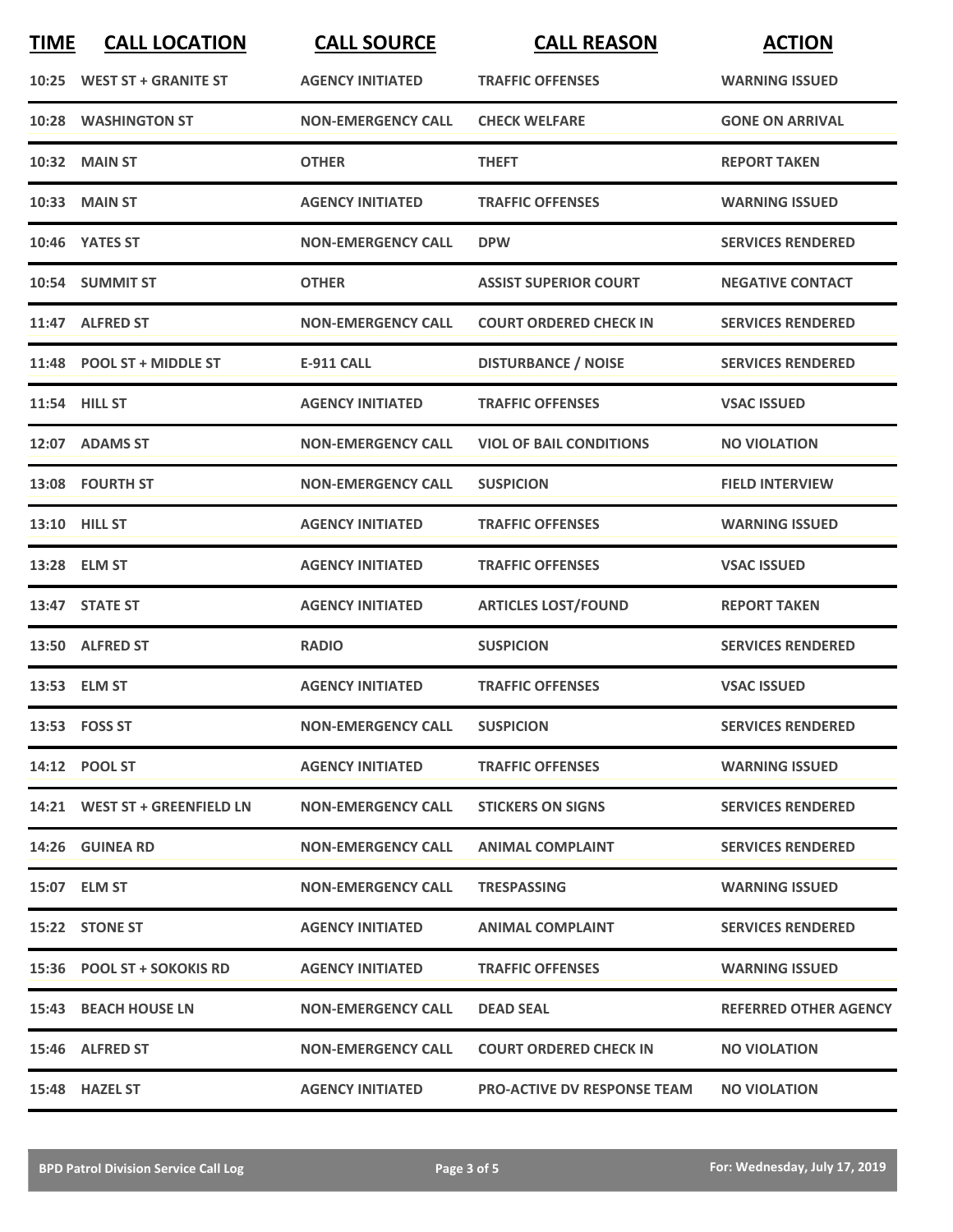| <b>TIME</b> | <b>CALL LOCATION</b>          | <b>CALL SOURCE</b>        | <b>CALL REASON</b>                 | <b>ACTION</b>                |
|-------------|-------------------------------|---------------------------|------------------------------------|------------------------------|
|             | 10:25 WEST ST + GRANITE ST    | <b>AGENCY INITIATED</b>   | <b>TRAFFIC OFFENSES</b>            | <b>WARNING ISSUED</b>        |
| 10:28       | <b>WASHINGTON ST</b>          | <b>NON-EMERGENCY CALL</b> | <b>CHECK WELFARE</b>               | <b>GONE ON ARRIVAL</b>       |
|             | <b>10:32 MAIN ST</b>          | <b>OTHER</b>              | <b>THEFT</b>                       | <b>REPORT TAKEN</b>          |
|             | <b>10:33 MAIN ST</b>          | <b>AGENCY INITIATED</b>   | <b>TRAFFIC OFFENSES</b>            | <b>WARNING ISSUED</b>        |
|             | 10:46 YATES ST                | <b>NON-EMERGENCY CALL</b> | <b>DPW</b>                         | <b>SERVICES RENDERED</b>     |
|             | 10:54 SUMMIT ST               | <b>OTHER</b>              | <b>ASSIST SUPERIOR COURT</b>       | <b>NEGATIVE CONTACT</b>      |
|             | 11:47 ALFRED ST               | <b>NON-EMERGENCY CALL</b> | <b>COURT ORDERED CHECK IN</b>      | <b>SERVICES RENDERED</b>     |
|             | 11:48 POOL ST + MIDDLE ST     | <b>E-911 CALL</b>         | <b>DISTURBANCE / NOISE</b>         | <b>SERVICES RENDERED</b>     |
|             | 11:54 HILL ST                 | <b>AGENCY INITIATED</b>   | <b>TRAFFIC OFFENSES</b>            | <b>VSAC ISSUED</b>           |
|             | 12:07 ADAMS ST                | <b>NON-EMERGENCY CALL</b> | <b>VIOL OF BAIL CONDITIONS</b>     | <b>NO VIOLATION</b>          |
|             | 13:08 FOURTH ST               | <b>NON-EMERGENCY CALL</b> | <b>SUSPICION</b>                   | <b>FIELD INTERVIEW</b>       |
|             | 13:10 HILL ST                 | <b>AGENCY INITIATED</b>   | <b>TRAFFIC OFFENSES</b>            | <b>WARNING ISSUED</b>        |
|             | 13:28 ELM ST                  | <b>AGENCY INITIATED</b>   | <b>TRAFFIC OFFENSES</b>            | <b>VSAC ISSUED</b>           |
|             | 13:47 STATE ST                | <b>AGENCY INITIATED</b>   | <b>ARTICLES LOST/FOUND</b>         | <b>REPORT TAKEN</b>          |
|             | 13:50 ALFRED ST               | <b>RADIO</b>              | <b>SUSPICION</b>                   | <b>SERVICES RENDERED</b>     |
|             | 13:53 ELM ST                  | <b>AGENCY INITIATED</b>   | <b>TRAFFIC OFFENSES</b>            | <b>VSAC ISSUED</b>           |
|             | 13:53 FOSS ST                 | <b>NON-EMERGENCY CALL</b> | <b>SUSPICION</b>                   | <b>SERVICES RENDERED</b>     |
|             | 14:12 POOL ST                 | <b>AGENCY INITIATED</b>   | <b>TRAFFIC OFFENSES</b>            | <b>WARNING ISSUED</b>        |
|             | 14:21 WEST ST + GREENFIELD LN | <b>NON-EMERGENCY CALL</b> | <b>STICKERS ON SIGNS</b>           | <b>SERVICES RENDERED</b>     |
|             | <b>14:26 GUINEA RD</b>        | <b>NON-EMERGENCY CALL</b> | <b>ANIMAL COMPLAINT</b>            | <b>SERVICES RENDERED</b>     |
|             | 15:07 ELM ST                  | <b>NON-EMERGENCY CALL</b> | <b>TRESPASSING</b>                 | <b>WARNING ISSUED</b>        |
|             | 15:22 STONE ST                | <b>AGENCY INITIATED</b>   | <b>ANIMAL COMPLAINT</b>            | <b>SERVICES RENDERED</b>     |
|             | 15:36 POOL ST + SOKOKIS RD    | <b>AGENCY INITIATED</b>   | <b>TRAFFIC OFFENSES</b>            | <b>WARNING ISSUED</b>        |
|             | 15:43 BEACH HOUSE LN          | <b>NON-EMERGENCY CALL</b> | <b>DEAD SEAL</b>                   | <b>REFERRED OTHER AGENCY</b> |
|             | 15:46 ALFRED ST               | <b>NON-EMERGENCY CALL</b> | <b>COURT ORDERED CHECK IN</b>      | <b>NO VIOLATION</b>          |
|             | 15:48 HAZEL ST                | <b>AGENCY INITIATED</b>   | <b>PRO-ACTIVE DV RESPONSE TEAM</b> | <b>NO VIOLATION</b>          |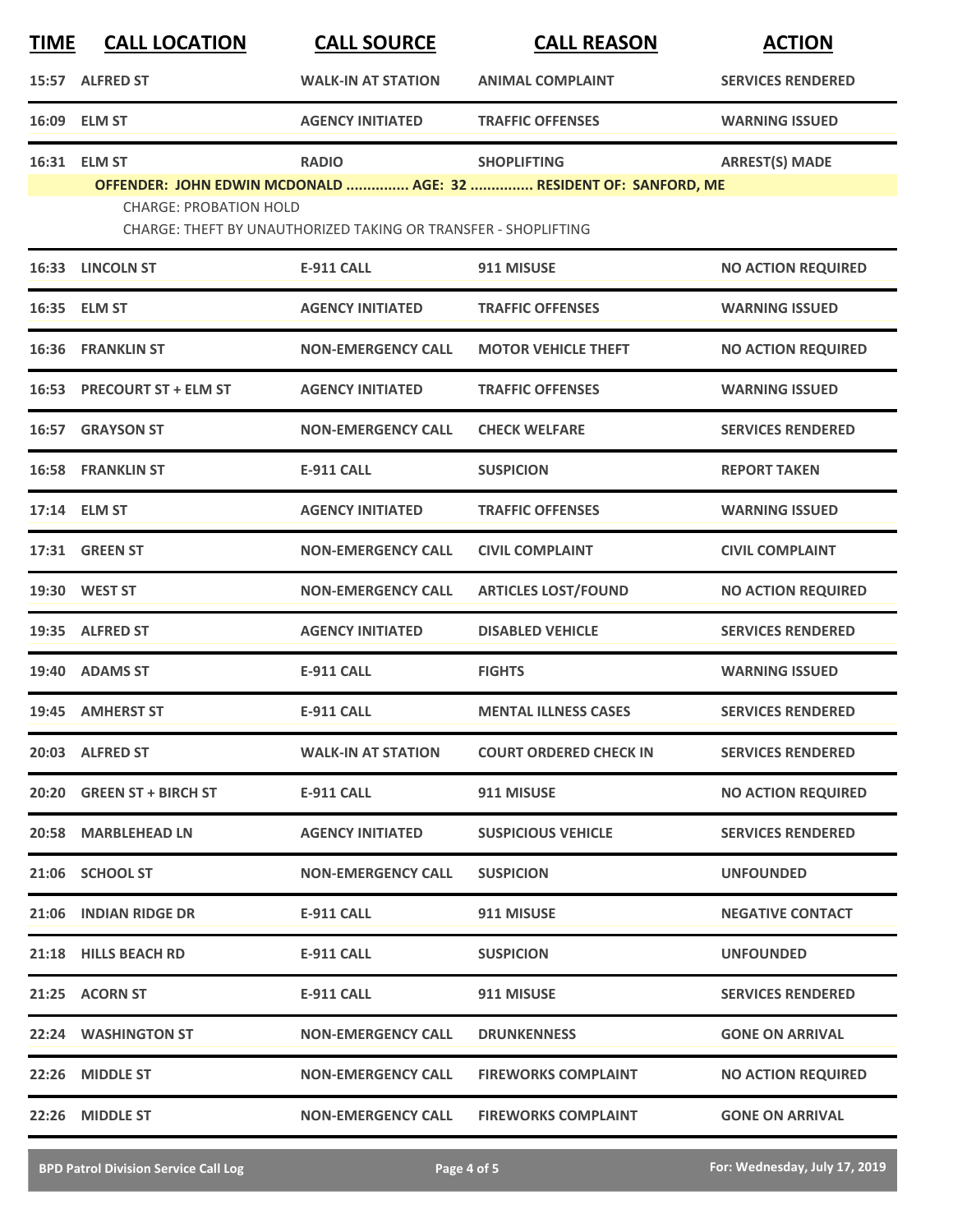| <b>TIME</b> | <b>CALL LOCATION</b>                                                                              | <b>CALL SOURCE</b>                                             | <b>CALL REASON</b>            | <b>ACTION</b>             |  |
|-------------|---------------------------------------------------------------------------------------------------|----------------------------------------------------------------|-------------------------------|---------------------------|--|
|             | 15:57 ALFRED ST                                                                                   | <b>WALK-IN AT STATION</b>                                      | <b>ANIMAL COMPLAINT</b>       | <b>SERVICES RENDERED</b>  |  |
|             | 16:09 ELM ST                                                                                      | <b>AGENCY INITIATED</b>                                        | <b>TRAFFIC OFFENSES</b>       | <b>WARNING ISSUED</b>     |  |
|             | 16:31 ELM ST                                                                                      | <b>RADIO</b>                                                   | <b>SHOPLIFTING</b>            | <b>ARREST(S) MADE</b>     |  |
|             | OFFENDER: JOHN EDWIN MCDONALD  AGE: 32  RESIDENT OF: SANFORD, ME<br><b>CHARGE: PROBATION HOLD</b> |                                                                |                               |                           |  |
|             |                                                                                                   | CHARGE: THEFT BY UNAUTHORIZED TAKING OR TRANSFER - SHOPLIFTING |                               |                           |  |
|             | 16:33 LINCOLN ST                                                                                  | <b>E-911 CALL</b>                                              | 911 MISUSE                    | <b>NO ACTION REQUIRED</b> |  |
|             | 16:35 ELM ST                                                                                      | <b>AGENCY INITIATED</b>                                        | <b>TRAFFIC OFFENSES</b>       | <b>WARNING ISSUED</b>     |  |
| 16:36       | <b>FRANKLIN ST</b>                                                                                | <b>NON-EMERGENCY CALL</b>                                      | <b>MOTOR VEHICLE THEFT</b>    | <b>NO ACTION REQUIRED</b> |  |
|             | 16:53 PRECOURT ST + ELM ST                                                                        | <b>AGENCY INITIATED</b>                                        | <b>TRAFFIC OFFENSES</b>       | <b>WARNING ISSUED</b>     |  |
|             | 16:57 GRAYSON ST                                                                                  | <b>NON-EMERGENCY CALL</b>                                      | <b>CHECK WELFARE</b>          | <b>SERVICES RENDERED</b>  |  |
|             | <b>16:58 FRANKLIN ST</b>                                                                          | <b>E-911 CALL</b>                                              | <b>SUSPICION</b>              | <b>REPORT TAKEN</b>       |  |
|             | 17:14 ELM ST                                                                                      | <b>AGENCY INITIATED</b>                                        | <b>TRAFFIC OFFENSES</b>       | <b>WARNING ISSUED</b>     |  |
|             | 17:31 GREEN ST                                                                                    | <b>NON-EMERGENCY CALL</b>                                      | <b>CIVIL COMPLAINT</b>        | <b>CIVIL COMPLAINT</b>    |  |
|             | 19:30 WEST ST                                                                                     | <b>NON-EMERGENCY CALL</b>                                      | <b>ARTICLES LOST/FOUND</b>    | <b>NO ACTION REQUIRED</b> |  |
| 19:35       | <b>ALFRED ST</b>                                                                                  | <b>AGENCY INITIATED</b>                                        | <b>DISABLED VEHICLE</b>       | <b>SERVICES RENDERED</b>  |  |
| 19:40       | <b>ADAMS ST</b>                                                                                   | <b>E-911 CALL</b>                                              | <b>FIGHTS</b>                 | <b>WARNING ISSUED</b>     |  |
|             | 19:45 AMHERST ST                                                                                  | <b>E-911 CALL</b>                                              | <b>MENTAL ILLNESS CASES</b>   | <b>SERVICES RENDERED</b>  |  |
|             | 20:03 ALFRED ST                                                                                   | <b>WALK-IN AT STATION</b>                                      | <b>COURT ORDERED CHECK IN</b> | <b>SERVICES RENDERED</b>  |  |
|             | 20:20 GREEN ST + BIRCH ST                                                                         | <b>E-911 CALL</b>                                              | 911 MISUSE                    | <b>NO ACTION REQUIRED</b> |  |
|             | 20:58 MARBLEHEAD LN                                                                               | <b>AGENCY INITIATED</b>                                        | <b>SUSPICIOUS VEHICLE</b>     | <b>SERVICES RENDERED</b>  |  |
|             | 21:06 SCHOOL ST                                                                                   | <b>NON-EMERGENCY CALL</b>                                      | <b>SUSPICION</b>              | <b>UNFOUNDED</b>          |  |
|             | 21:06 INDIAN RIDGE DR                                                                             | <b>E-911 CALL</b>                                              | 911 MISUSE                    | <b>NEGATIVE CONTACT</b>   |  |
|             | 21:18 HILLS BEACH RD                                                                              | <b>E-911 CALL</b>                                              | <b>SUSPICION</b>              | <b>UNFOUNDED</b>          |  |
|             | 21:25 ACORN ST                                                                                    | <b>E-911 CALL</b>                                              | 911 MISUSE                    | <b>SERVICES RENDERED</b>  |  |
|             | 22:24 WASHINGTON ST                                                                               | <b>NON-EMERGENCY CALL</b>                                      | <b>DRUNKENNESS</b>            | <b>GONE ON ARRIVAL</b>    |  |
|             | 22:26 MIDDLE ST                                                                                   | <b>NON-EMERGENCY CALL</b>                                      | <b>FIREWORKS COMPLAINT</b>    | <b>NO ACTION REQUIRED</b> |  |
|             | 22:26 MIDDLE ST                                                                                   | <b>NON-EMERGENCY CALL</b>                                      | <b>FIREWORKS COMPLAINT</b>    | <b>GONE ON ARRIVAL</b>    |  |